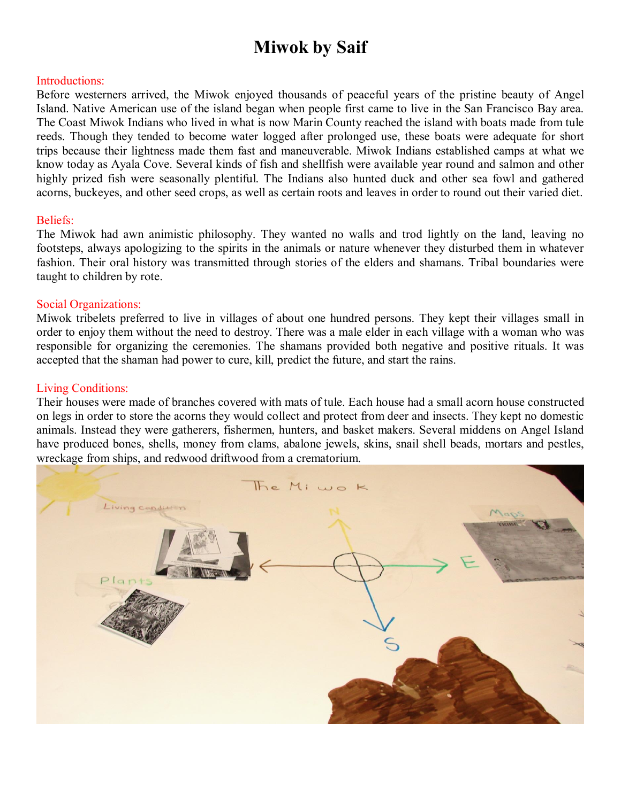# **Miwok by Saif**

## Introductions:

Before westerners arrived, the Miwok enjoyed thousands of peaceful years of the pristine beauty of Angel Island. Native American use of the island began when people first came to live in the San Francisco Bay area. The Coast Miwok Indians who lived in what is now Marin County reached the island with boats made from tule reeds. Though they tended to become water logged after prolonged use, these boats were adequate for short trips because their lightness made them fast and maneuverable. Miwok Indians established camps at what we know today as Ayala Cove. Several kinds of fish and shellfish were available year round and salmon and other highly prized fish were seasonally plentiful. The Indians also hunted duck and other sea fowl and gathered acorns, buckeyes, and other seed crops, as well as certain roots and leaves in order to round out their varied diet.

## Beliefs:

The Miwok had awn animistic philosophy. They wanted no walls and trod lightly on the land, leaving no footsteps, always apologizing to the spirits in the animals or nature whenever they disturbed them in whatever fashion. Their oral history was transmitted through stories of the elders and shamans. Tribal boundaries were taught to children by rote.

## Social Organizations:

Miwok tribelets preferred to live in villages of about one hundred persons. They kept their villages small in order to enjoy them without the need to destroy. There was a male elder in each village with a woman who was responsible for organizing the ceremonies. The shamans provided both negative and positive rituals. It was accepted that the shaman had power to cure, kill, predict the future, and start the rains.

## Living Conditions:

Their houses were made of branches covered with mats of tule. Each house had a small acorn house constructed on legs in order to store the acorns they would collect and protect from deer and insects. They kept no domestic animals. Instead they were gatherers, fishermen, hunters, and basket makers. Several middens on Angel Island have produced bones, shells, money from clams, abalone jewels, skins, snail shell beads, mortars and pestles, wreckage from ships, and redwood driftwood from a crematorium.